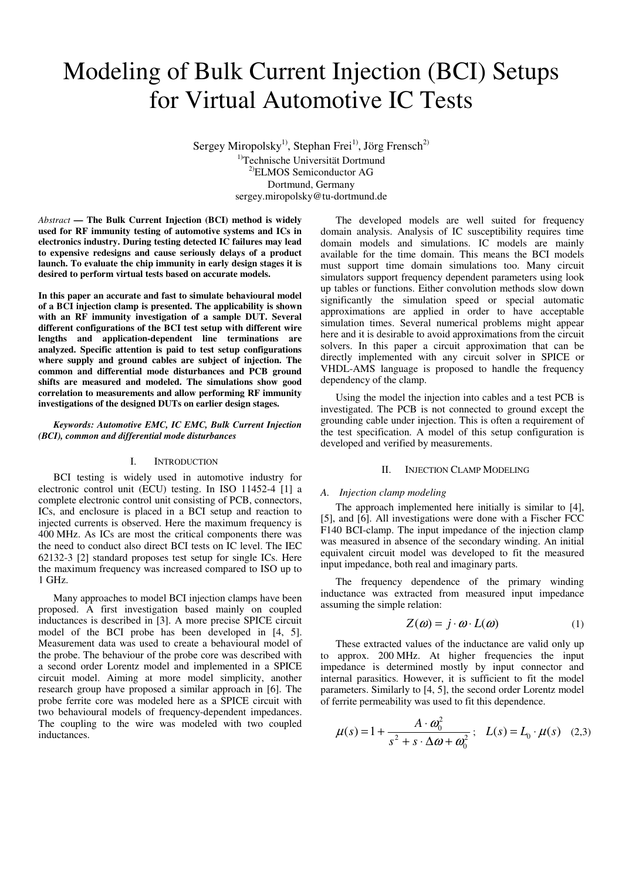# Modeling of Bulk Current Injection (BCI) Setups for Virtual Automotive IC Tests

Sergey Miropolsky<sup>1)</sup>, Stephan Frei<sup>1)</sup>, Jörg Frensch<sup>2)</sup> <sup>1)</sup>Technische Universität Dortmund 2)ELMOS Semiconductor AG Dortmund, Germany sergey.miropolsky@tu-dortmund.de

*Abstract* **— The Bulk Current Injection (BCI) method is widely used for RF immunity testing of automotive systems and ICs in electronics industry. During testing detected IC failures may lead to expensive redesigns and cause seriously delays of a product launch. To evaluate the chip immunity in early design stages it is desired to perform virtual tests based on accurate models.** 

**In this paper an accurate and fast to simulate behavioural model of a BCI injection clamp is presented. The applicability is shown with an RF immunity investigation of a sample DUT. Several different configurations of the BCI test setup with different wire lengths and application-dependent line terminations are analyzed. Specific attention is paid to test setup configurations where supply and ground cables are subject of injection. The common and differential mode disturbances and PCB ground shifts are measured and modeled. The simulations show good correlation to measurements and allow performing RF immunity investigations of the designed DUTs on earlier design stages.** 

### *Keywords: Automotive EMC, IC EMC, Bulk Current Injection (BCI), common and differential mode disturbances*

## I. INTRODUCTION

BCI testing is widely used in automotive industry for electronic control unit (ECU) testing. In ISO 11452-4 [1] a complete electronic control unit consisting of PCB, connectors, ICs, and enclosure is placed in a BCI setup and reaction to injected currents is observed. Here the maximum frequency is 400 MHz. As ICs are most the critical components there was the need to conduct also direct BCI tests on IC level. The IEC 62132-3 [2] standard proposes test setup for single ICs. Here the maximum frequency was increased compared to ISO up to 1 GHz.

Many approaches to model BCI injection clamps have been proposed. A first investigation based mainly on coupled inductances is described in [3]. A more precise SPICE circuit model of the BCI probe has been developed in [4, 5]. Measurement data was used to create a behavioural model of the probe. The behaviour of the probe core was described with a second order Lorentz model and implemented in a SPICE circuit model. Aiming at more model simplicity, another research group have proposed a similar approach in [6]. The probe ferrite core was modeled here as a SPICE circuit with two behavioural models of frequency-dependent impedances. The coupling to the wire was modeled with two coupled inductances.

The developed models are well suited for frequency domain analysis. Analysis of IC susceptibility requires time domain models and simulations. IC models are mainly available for the time domain. This means the BCI models must support time domain simulations too. Many circuit simulators support frequency dependent parameters using look up tables or functions. Either convolution methods slow down significantly the simulation speed or special automatic approximations are applied in order to have acceptable simulation times. Several numerical problems might appear here and it is desirable to avoid approximations from the circuit solvers. In this paper a circuit approximation that can be directly implemented with any circuit solver in SPICE or VHDL-AMS language is proposed to handle the frequency dependency of the clamp.

Using the model the injection into cables and a test PCB is investigated. The PCB is not connected to ground except the grounding cable under injection. This is often a requirement of the test specification. A model of this setup configuration is developed and verified by measurements.

## II. INJECTION CLAMP MODELING

## *A. Injection clamp modeling*

The approach implemented here initially is similar to [4], [5], and [6]. All investigations were done with a Fischer FCC F140 BCI-clamp. The input impedance of the injection clamp was measured in absence of the secondary winding. An initial equivalent circuit model was developed to fit the measured input impedance, both real and imaginary parts.

The frequency dependence of the primary winding inductance was extracted from measured input impedance assuming the simple relation:

$$
Z(\omega) = j \cdot \omega \cdot L(\omega) \tag{1}
$$

These extracted values of the inductance are valid only up to approx. 200 MHz. At higher frequencies the input impedance is determined mostly by input connector and internal parasitics. However, it is sufficient to fit the model parameters. Similarly to [4, 5], the second order Lorentz model of ferrite permeability was used to fit this dependence.

$$
\mu(s) = 1 + \frac{A \cdot \omega_0^2}{s^2 + s \cdot \Delta \omega + \omega_0^2}; \quad L(s) = L_0 \cdot \mu(s) \quad (2,3)
$$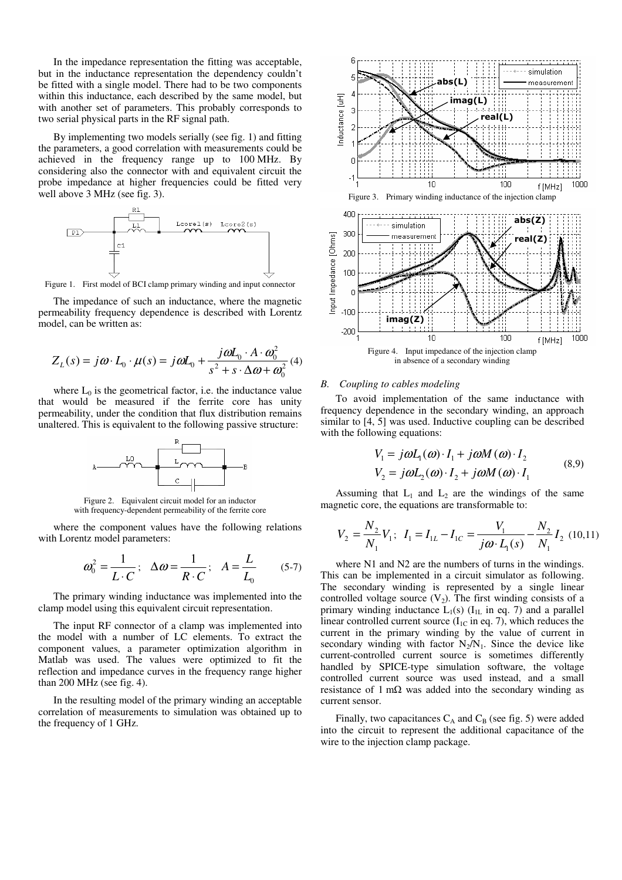In the impedance representation the fitting was acceptable, but in the inductance representation the dependency couldn't be fitted with a single model. There had to be two components within this inductance, each described by the same model, but with another set of parameters. This probably corresponds to two serial physical parts in the RF signal path.

By implementing two models serially (see fig. 1) and fitting the parameters, a good correlation with measurements could be achieved in the frequency range up to 100 MHz. By considering also the connector with and equivalent circuit the probe impedance at higher frequencies could be fitted very well above 3 MHz (see fig. 3).



Figure 1. First model of BCI clamp primary winding and input connector

The impedance of such an inductance, where the magnetic permeability frequency dependence is described with Lorentz model, can be written as:

$$
Z_L(s) = j\omega \cdot L_0 \cdot \mu(s) = j\omega L_0 + \frac{j\omega L_0 \cdot A \cdot \omega_0^2}{s^2 + s \cdot \Delta \omega + \omega_0^2}
$$
(4)

where  $L_0$  is the geometrical factor, i.e. the inductance value that would be measured if the ferrite core has unity permeability, under the condition that flux distribution remains unaltered. This is equivalent to the following passive structure:



Figure 2. Equivalent circuit model for an inductor with frequency-dependent permeability of the ferrite core

where the component values have the following relations with Lorentz model parameters:

$$
\omega_0^2 = \frac{1}{L \cdot C}; \quad \Delta \omega = \frac{1}{R \cdot C}; \quad A = \frac{L}{L_0} \qquad (5-7)
$$

The primary winding inductance was implemented into the clamp model using this equivalent circuit representation.

The input RF connector of a clamp was implemented into the model with a number of LC elements. To extract the component values, a parameter optimization algorithm in Matlab was used. The values were optimized to fit the reflection and impedance curves in the frequency range higher than 200 MHz (see fig. 4).

In the resulting model of the primary winding an acceptable correlation of measurements to simulation was obtained up to the frequency of 1 GHz.



# *B. Coupling to cables modeling*

To avoid implementation of the same inductance with frequency dependence in the secondary winding, an approach similar to [4, 5] was used. Inductive coupling can be described with the following equations:

$$
V_1 = j\omega L_1(\omega) \cdot I_1 + j\omega M(\omega) \cdot I_2
$$
  
\n
$$
V_2 = j\omega L_2(\omega) \cdot I_2 + j\omega M(\omega) \cdot I_1
$$
 (8,9)

Assuming that  $L_1$  and  $L_2$  are the windings of the same magnetic core, the equations are transformable to:

$$
V_2 = \frac{N_2}{N_1} V_1; \ I_1 = I_{1L} - I_{1C} = \frac{V_1}{j\omega \cdot L_1(s)} - \frac{N_2}{N_1} I_2 \ (10, 11)
$$

where N1 and N2 are the numbers of turns in the windings. This can be implemented in a circuit simulator as following. The secondary winding is represented by a single linear controlled voltage source  $(V_2)$ . The first winding consists of a primary winding inductance  $L_1(s)$  ( $I_{1L}$  in eq. 7) and a parallel linear controlled current source  $(I_{1C}$  in eq. 7), which reduces the current in the primary winding by the value of current in secondary winding with factor  $N_2/N_1$ . Since the device like current-controlled current source is sometimes differently handled by SPICE-type simulation software, the voltage controlled current source was used instead, and a small resistance of  $1 \text{ m}\Omega$  was added into the secondary winding as current sensor.

Finally, two capacitances  $C_A$  and  $C_B$  (see fig. 5) were added into the circuit to represent the additional capacitance of the wire to the injection clamp package.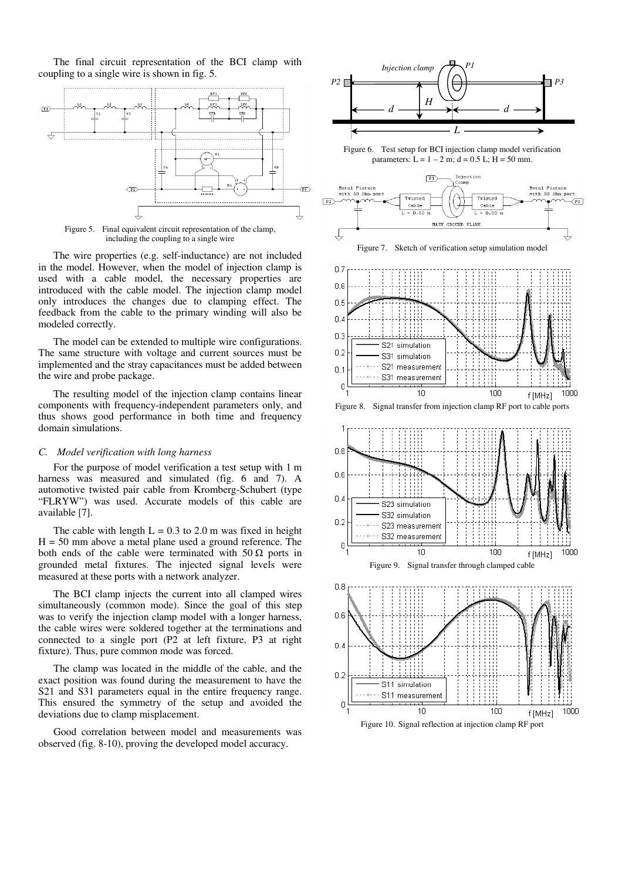The final circuit representation of the BCI clamp with coupling to a single wire is shown in fig. 5.



Figure 5. Final equivalent circuit representation of the clamp, including the coupling to a single wire

The wire properties (e.g. self-inductance) are not included in the model. However, when the model of injection clamp is used with a cable model, the necessary properties are introduced with the cable model. The injection clamp model only introduces the changes due to clamping effect. The feedback from the cable to the primary winding will also be modeled correctly.

The model can be extended to multiple wire configurations. The same structure with voltage and current sources must be implemented and the stray capacitances must be added between the wire and probe package.

The resulting model of the injection clamp contains linear components with frequency-independent parameters only, and thus shows good performance in both time and frequency domain simulations.

## *C. Model verification with long harness*

For the purpose of model verification a test setup with 1 m harness was measured and simulated (fig. 6 and 7). A automotive twisted pair cable from Kromberg-Schubert (type "FLRYW") was used. Accurate models of this cable are available [7].

The cable with length  $L = 0.3$  to 2.0 m was fixed in height  $H = 50$  mm above a metal plane used a ground reference. The both ends of the cable were terminated with 50  $\Omega$  ports in grounded metal fixtures. The injected signal levels were measured at these ports with a network analyzer.

The BCI clamp injects the current into all clamped wires simultaneously (common mode). Since the goal of this step was to verify the injection clamp model with a longer harness, the cable wires were soldered together at the terminations and connected to a single port (P2 at left fixture, P3 at right fixture). Thus, pure common mode was forced.

The clamp was located in the middle of the cable, and the exact position was found during the measurement to have the S21 and S31 parameters equal in the entire frequency range. This ensured the symmetry of the setup and avoided the deviations due to clamp misplacement.

Good correlation between model and measurements was observed (fig. 8-10), proving the developed model accuracy.



Figure 6. Test setup for BCI injection clamp model verification parameters:  $L = 1 - 2$  m;  $d = 0.5$  L;  $H = 50$  mm.



Figure 7. Sketch of verification setup simulation model







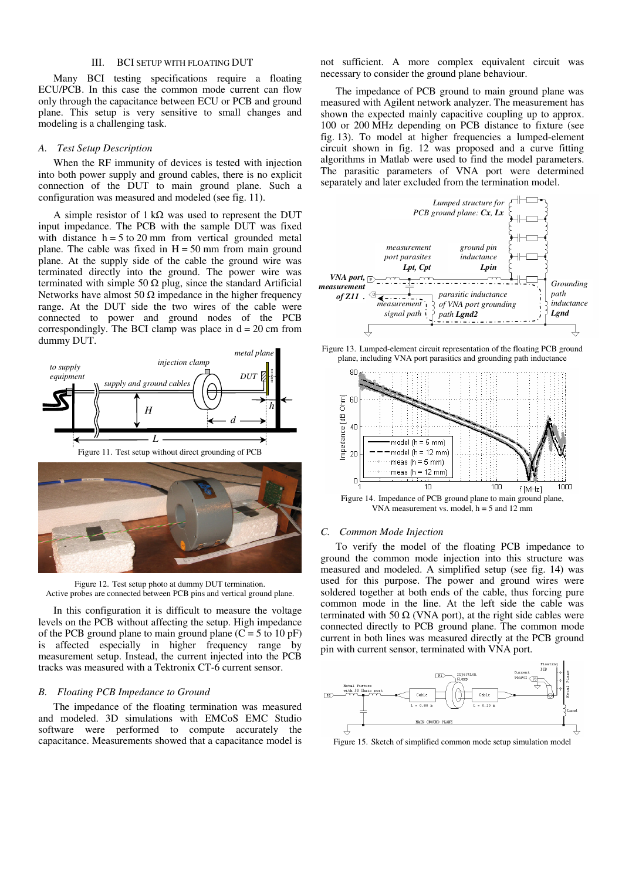# III. BCI SETUP WITH FLOATING DUT

Many BCI testing specifications require a floating ECU/PCB. In this case the common mode current can flow only through the capacitance between ECU or PCB and ground plane. This setup is very sensitive to small changes and modeling is a challenging task.

#### *A. Test Setup Description*

When the RF immunity of devices is tested with injection into both power supply and ground cables, there is no explicit connection of the DUT to main ground plane. Such a configuration was measured and modeled (see fig. 11).

A simple resistor of  $1 \text{ k}\Omega$  was used to represent the DUT input impedance. The PCB with the sample DUT was fixed with distance  $h = 5$  to 20 mm from vertical grounded metal plane. The cable was fixed in  $H = 50$  mm from main ground plane. At the supply side of the cable the ground wire was terminated directly into the ground. The power wire was terminated with simple 50  $\Omega$  plug, since the standard Artificial Networks have almost 50  $\Omega$  impedance in the higher frequency range. At the DUT side the two wires of the cable were connected to power and ground nodes of the PCB correspondingly. The BCI clamp was place in  $d = 20$  cm from dummy DUT.







Figure 12. Test setup photo at dummy DUT termination. Active probes are connected between PCB pins and vertical ground plane.

In this configuration it is difficult to measure the voltage levels on the PCB without affecting the setup. High impedance of the PCB ground plane to main ground plane  $(C = 5$  to 10 pF) is affected especially in higher frequency range by measurement setup. Instead, the current injected into the PCB tracks was measured with a Tektronix CT-6 current sensor.

# *B. Floating PCB Impedance to Ground*

The impedance of the floating termination was measured and modeled. 3D simulations with EMCoS EMC Studio software were performed to compute accurately the capacitance. Measurements showed that a capacitance model is not sufficient. A more complex equivalent circuit was necessary to consider the ground plane behaviour.

The impedance of PCB ground to main ground plane was measured with Agilent network analyzer. The measurement has shown the expected mainly capacitive coupling up to approx. 100 or 200 MHz depending on PCB distance to fixture (see fig. 13). To model at higher frequencies a lumped-element circuit shown in fig. 12 was proposed and a curve fitting algorithms in Matlab were used to find the model parameters. The parasitic parameters of VNA port were determined separately and later excluded from the termination model.







VNA measurement vs. model,  $h = 5$  and 12 mm

# *C. Common Mode Injection*

To verify the model of the floating PCB impedance to ground the common mode injection into this structure was measured and modeled. A simplified setup (see fig. 14) was used for this purpose. The power and ground wires were soldered together at both ends of the cable, thus forcing pure common mode in the line. At the left side the cable was terminated with 50  $\Omega$  (VNA port), at the right side cables were connected directly to PCB ground plane. The common mode current in both lines was measured directly at the PCB ground pin with current sensor, terminated with VNA port.



Figure 15. Sketch of simplified common mode setup simulation model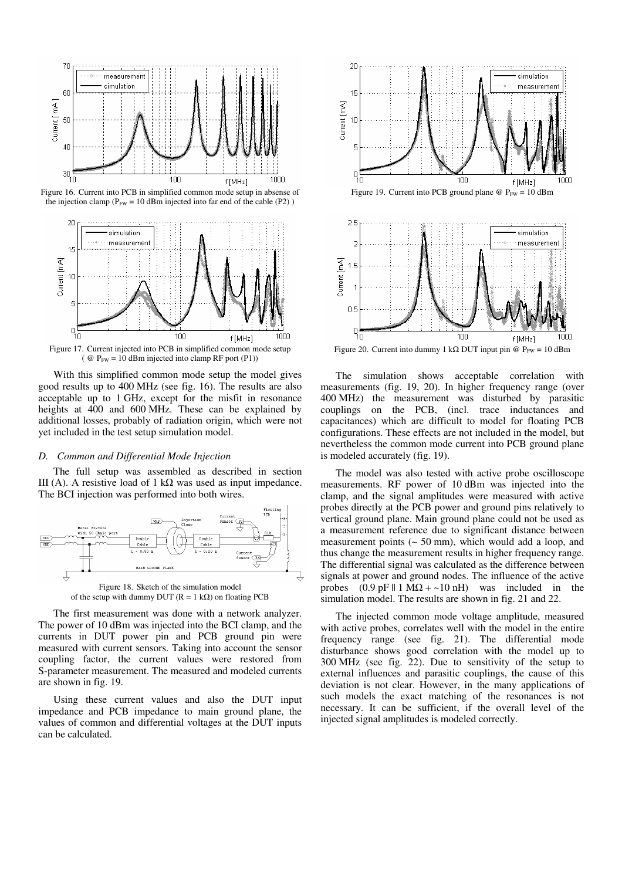





(  $\omega$  P<sub>FW</sub> = 10 dBm injected into clamp RF port (P1))

With this simplified common mode setup the model gives good results up to 400 MHz (see fig. 16). The results are also acceptable up to 1 GHz, except for the misfit in resonance heights at 400 and 600 MHz. These can be explained by additional losses, probably of radiation origin, which were not yet included in the test setup simulation model.

## *D. Common and Differential Mode Injection*

The full setup was assembled as described in section III (A). A resistive load of 1 kΩ was used as input impedance. The BCI injection was performed into both wires.



of the setup with dummy DUT ( $R = 1$  k $\Omega$ ) on floating PCB

The first measurement was done with a network analyzer. The power of 10 dBm was injected into the BCI clamp, and the currents in DUT power pin and PCB ground pin were measured with current sensors. Taking into account the sensor coupling factor, the current values were restored from S-parameter measurement. The measured and modeled currents are shown in fig. 19.

Using these current values and also the DUT input impedance and PCB impedance to main ground plane, the values of common and differential voltages at the DUT inputs can be calculated.





Figure 20. Current into dummy 1 kΩ DUT input pin @  $P_{FW} = 10$  dBm

The simulation shows acceptable correlation with measurements (fig. 19, 20). In higher frequency range (over 400 MHz) the measurement was disturbed by parasitic couplings on the PCB, (incl. trace inductances and capacitances) which are difficult to model for floating PCB configurations. These effects are not included in the model, but nevertheless the common mode current into PCB ground plane is modeled accurately (fig. 19).

The model was also tested with active probe oscilloscope measurements. RF power of 10 dBm was injected into the clamp, and the signal amplitudes were measured with active probes directly at the PCB power and ground pins relatively to vertical ground plane. Main ground plane could not be used as a measurement reference due to significant distance between measurement points (~ 50 mm), which would add a loop, and thus change the measurement results in higher frequency range. The differential signal was calculated as the difference between signals at power and ground nodes. The influence of the active probes  $(0.9 \text{ pF} \parallel 1 \text{ M}\Omega + \sim 10 \text{ nH})$  was included in the simulation model. The results are shown in fig. 21 and 22.

The injected common mode voltage amplitude, measured with active probes, correlates well with the model in the entire frequency range (see fig. 21). The differential mode disturbance shows good correlation with the model up to 300 MHz (see fig. 22). Due to sensitivity of the setup to external influences and parasitic couplings, the cause of this deviation is not clear. However, in the many applications of such models the exact matching of the resonances is not necessary. It can be sufficient, if the overall level of the injected signal amplitudes is modeled correctly.